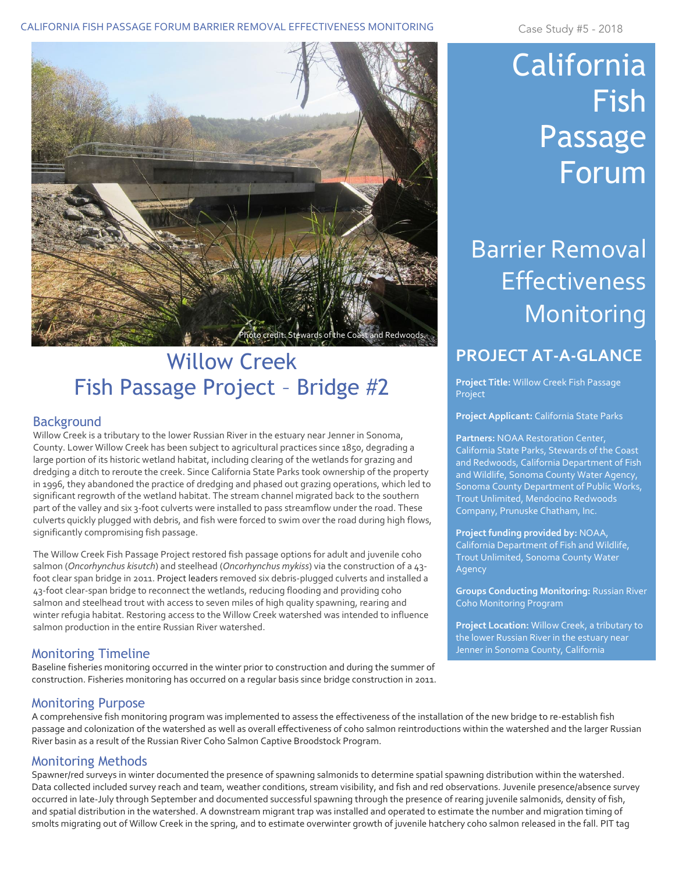#### CALIFORNIA FISH PASSAGE FORUM BARRIER REMOVAL EFFECTIVENESS MONITORING Case Study #5 - 2018



## Willow Creek Fish Passage Project – Bridge #2

#### Background

Willow Creek is a tributary to the lower Russian River in the estuary near Jenner in Sonoma, County. Lower Willow Creek has been subject to agricultural practices since 1850, degrading a large portion of its historic wetland habitat, including clearing of the wetlands for grazing and dredging a ditch to reroute the creek. Since California State Parks took ownership of the property in 1996, they abandoned the practice of dredging and phased out grazing operations, which led to significant regrowth of the wetland habitat. The stream channel migrated back to the southern part of the valley and six 3-foot culverts were installed to pass streamflow under the road. These culverts quickly plugged with debris, and fish were forced to swim over the road during high flows, significantly compromising fish passage.

The Willow Creek Fish Passage Project restored fish passage options for adult and juvenile coho salmon (*Oncorhynchus kisutch*) and steelhead (*Oncorhynchus mykiss*) via the construction of a 43 foot clear span bridge in 2011. Project leaders removed six debris-plugged culverts and installed a 43-foot clear-span bridge to reconnect the wetlands, reducing flooding and providing coho salmon and steelhead trout with access to seven miles of high quality spawning, rearing and winter refugia habitat. Restoring access to the Willow Creek watershed was intended to influence salmon production in the entire Russian River watershed.

### Monitoring Timeline

Baseline fisheries monitoring occurred in the winter prior to construction and during the summer of construction. Fisheries monitoring has occurred on a regular basis since bridge construction in 2011.

# California Fish Passage Forum

# Barrier Removal Effectiveness Monitoring

### **PROJECT AT-A-GLANCE**

**Project Title:** Willow Creek Fish Passage Project

**Project Applicant:** California State Parks

**Partners:** NOAA Restoration Center, California State Parks, Stewards of the Coast and Redwoods, California Department of Fish and Wildlife, Sonoma County Water Agency, Sonoma County Department of Public Works, Trout Unlimited, Mendocino Redwoods Company, Prunuske Chatham, Inc.

**Project funding provided by:** NOAA, California Department of Fish and Wildlife, Trout Unlimited, Sonoma County Water Agency

**Groups Conducting Monitoring:** Russian River Coho Monitoring Program

**Project Location:** Willow Creek, a tributary to the lower Russian River in the estuary near Jenner in Sonoma County, California

Monitoring Purpose

A comprehensive fish monitoring program was implemented to assess the effectiveness of the installation of the new bridge to re-establish fish passage and colonization of the watershed as well as overall effectiveness of coho salmon reintroductions within the watershed and the larger Russian River basin as a result of the Russian River Coho Salmon Captive Broodstock Program.

### Monitoring Methods

Spawner/red surveys in winter documented the presence of spawning salmonids to determine spatial spawning distribution within the watershed. Data collected included survey reach and team, weather conditions, stream visibility, and fish and red observations. Juvenile presence/absence survey occurred in late-July through September and documented successful spawning through the presence of rearing juvenile salmonids, density of fish, and spatial distribution in the watershed. A downstream migrant trap was installed and operated to estimate the number and migration timing of smolts migrating out of Willow Creek in the spring, and to estimate overwinter growth of juvenile hatchery coho salmon released in the fall. PIT tag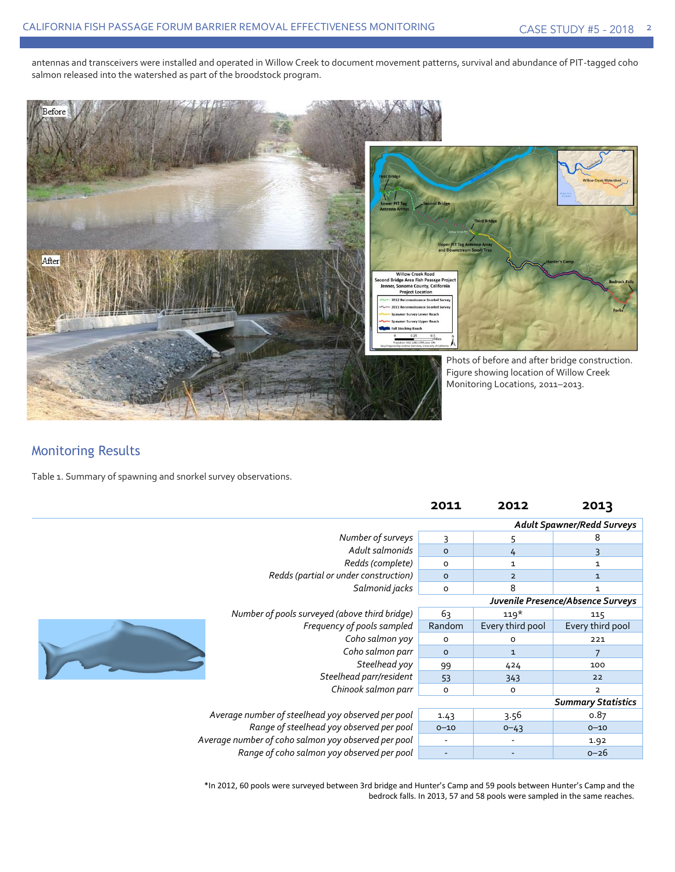antennas and transceivers were installed and operated in Willow Creek to document movement patterns, survival and abundance of PIT-tagged coho salmon released into the watershed as part of the broodstock program.



### Monitoring Results

Table 1. Summary of spawning and snorkel survey observations.

|                                                     |                                               | 2011     | 2012                              | 2013                      |  |  |
|-----------------------------------------------------|-----------------------------------------------|----------|-----------------------------------|---------------------------|--|--|
|                                                     |                                               |          | <b>Adult Spawner/Redd Surveys</b> |                           |  |  |
|                                                     | Number of surveys                             | 3        |                                   | 8                         |  |  |
|                                                     | Adult salmonids                               |          | 4                                 |                           |  |  |
|                                                     | Redds (complete)                              | $\circ$  | 1                                 | $\mathbf 1$               |  |  |
|                                                     | Redds (partial or under construction)         | $\circ$  | $\overline{2}$                    | $\mathbf{1}$              |  |  |
|                                                     | Salmonid jacks                                | $\circ$  | 8                                 | $\mathbf{1}$              |  |  |
|                                                     | Juvenile Presence/Absence Surveys             |          |                                   |                           |  |  |
|                                                     | Number of pools surveyed (above third bridge) | 63       | $119*$                            | 115                       |  |  |
|                                                     | Frequency of pools sampled                    | Random   | Every third pool                  | Every third pool          |  |  |
|                                                     | Coho salmon yoy                               | O        | O                                 | 221                       |  |  |
|                                                     | Coho salmon parr                              | $\circ$  | $\mathbf{1}$                      |                           |  |  |
|                                                     | Steelhead yoy                                 | 99       | 424                               | 100                       |  |  |
|                                                     | Steelhead parr/resident                       | 53       | 343                               | 22                        |  |  |
|                                                     | Chinook salmon parr                           | $\circ$  | O                                 | $\overline{\mathbf{2}}$   |  |  |
|                                                     |                                               |          |                                   | <b>Summary Statistics</b> |  |  |
| Average number of steelhead yoy observed per pool   |                                               | 1.43     | 3.56                              | 0.87                      |  |  |
| Range of steelhead yoy observed per pool            |                                               | $0 - 10$ | $0 - 43$                          | $0 - 10$                  |  |  |
| Average number of coho salmon yoy observed per pool |                                               |          |                                   | 1.92                      |  |  |
| Range of coho salmon yoy observed per pool          |                                               |          |                                   | $0 - 26$                  |  |  |

\*In 2012, 60 pools were surveyed between 3rd bridge and Hunter's Camp and 59 pools between Hunter's Camp and the bedrock falls. In 2013, 57 and 58 pools were sampled in the same reaches.